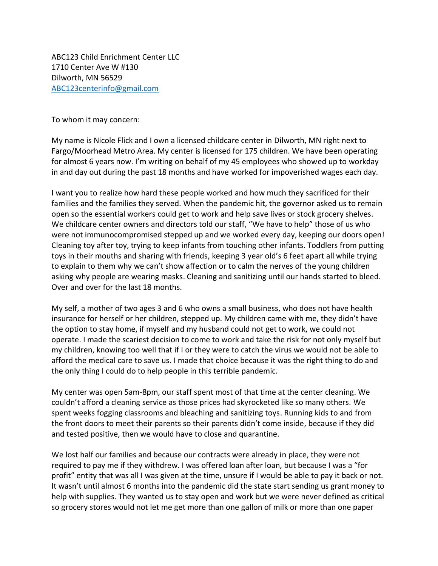ABC123 Child Enrichment Center LLC 1710 Center Ave W #130 Dilworth, MN 56529 [ABC123centerinfo@gmail.com](mailto:ABC123centerinfo@gmail.com)

To whom it may concern:

My name is Nicole Flick and I own a licensed childcare center in Dilworth, MN right next to Fargo/Moorhead Metro Area. My center is licensed for 175 children. We have been operating for almost 6 years now. I'm writing on behalf of my 45 employees who showed up to workday in and day out during the past 18 months and have worked for impoverished wages each day.

I want you to realize how hard these people worked and how much they sacrificed for their families and the families they served. When the pandemic hit, the governor asked us to remain open so the essential workers could get to work and help save lives or stock grocery shelves. We childcare center owners and directors told our staff, "We have to help" those of us who were not immunocompromised stepped up and we worked every day, keeping our doors open! Cleaning toy after toy, trying to keep infants from touching other infants. Toddlers from putting toys in their mouths and sharing with friends, keeping 3 year old's 6 feet apart all while trying to explain to them why we can't show affection or to calm the nerves of the young children asking why people are wearing masks. Cleaning and sanitizing until our hands started to bleed. Over and over for the last 18 months.

My self, a mother of two ages 3 and 6 who owns a small business, who does not have health insurance for herself or her children, stepped up. My children came with me, they didn't have the option to stay home, if myself and my husband could not get to work, we could not operate. I made the scariest decision to come to work and take the risk for not only myself but my children, knowing too well that if I or they were to catch the virus we would not be able to afford the medical care to save us. I made that choice because it was the right thing to do and the only thing I could do to help people in this terrible pandemic.

My center was open 5am-8pm, our staff spent most of that time at the center cleaning. We couldn't afford a cleaning service as those prices had skyrocketed like so many others. We spent weeks fogging classrooms and bleaching and sanitizing toys. Running kids to and from the front doors to meet their parents so their parents didn't come inside, because if they did and tested positive, then we would have to close and quarantine.

We lost half our families and because our contracts were already in place, they were not required to pay me if they withdrew. I was offered loan after loan, but because I was a "for profit" entity that was all I was given at the time, unsure if I would be able to pay it back or not. It wasn't until almost 6 months into the pandemic did the state start sending us grant money to help with supplies. They wanted us to stay open and work but we were never defined as critical so grocery stores would not let me get more than one gallon of milk or more than one paper